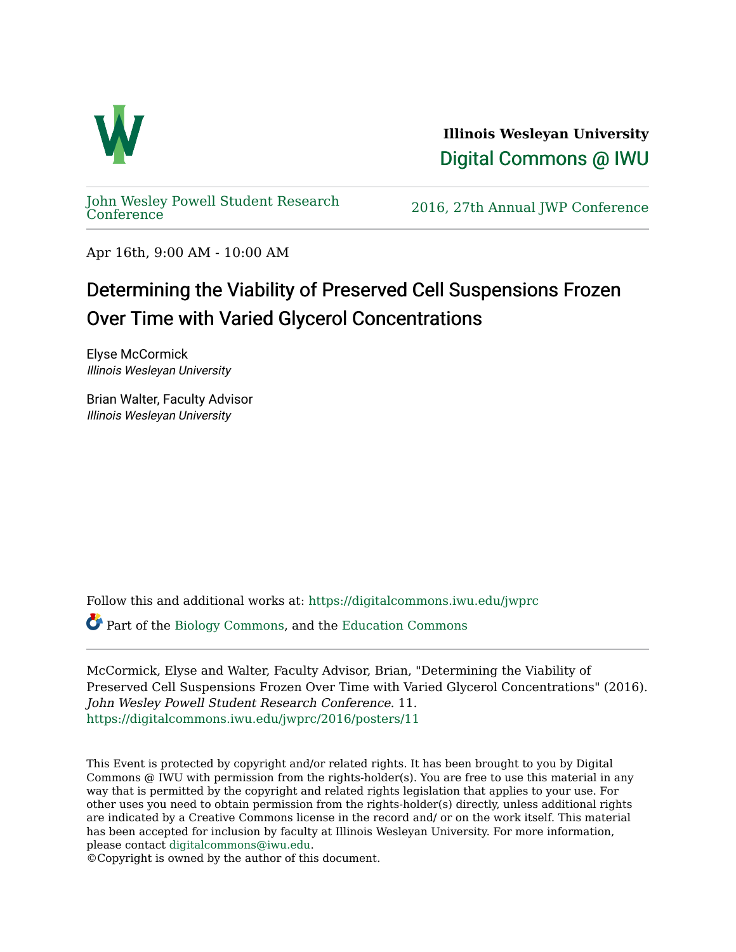

**Illinois Wesleyan University**  [Digital Commons @ IWU](https://digitalcommons.iwu.edu/) 

[John Wesley Powell Student Research](https://digitalcommons.iwu.edu/jwprc) 

2016, 27th Annual JWP [Conference](https://digitalcommons.iwu.edu/jwprc)

Apr 16th, 9:00 AM - 10:00 AM

## Determining the Viability of Preserved Cell Suspensions Frozen Over Time with Varied Glycerol Concentrations

Elyse McCormick Illinois Wesleyan University

Brian Walter, Faculty Advisor Illinois Wesleyan University

Follow this and additional works at: [https://digitalcommons.iwu.edu/jwprc](https://digitalcommons.iwu.edu/jwprc?utm_source=digitalcommons.iwu.edu%2Fjwprc%2F2016%2Fposters%2F11&utm_medium=PDF&utm_campaign=PDFCoverPages) 

Part of the [Biology Commons,](http://network.bepress.com/hgg/discipline/41?utm_source=digitalcommons.iwu.edu%2Fjwprc%2F2016%2Fposters%2F11&utm_medium=PDF&utm_campaign=PDFCoverPages) and the [Education Commons](http://network.bepress.com/hgg/discipline/784?utm_source=digitalcommons.iwu.edu%2Fjwprc%2F2016%2Fposters%2F11&utm_medium=PDF&utm_campaign=PDFCoverPages)

McCormick, Elyse and Walter, Faculty Advisor, Brian, "Determining the Viability of Preserved Cell Suspensions Frozen Over Time with Varied Glycerol Concentrations" (2016). John Wesley Powell Student Research Conference. 11. [https://digitalcommons.iwu.edu/jwprc/2016/posters/11](https://digitalcommons.iwu.edu/jwprc/2016/posters/11?utm_source=digitalcommons.iwu.edu%2Fjwprc%2F2016%2Fposters%2F11&utm_medium=PDF&utm_campaign=PDFCoverPages)

This Event is protected by copyright and/or related rights. It has been brought to you by Digital Commons @ IWU with permission from the rights-holder(s). You are free to use this material in any way that is permitted by the copyright and related rights legislation that applies to your use. For other uses you need to obtain permission from the rights-holder(s) directly, unless additional rights are indicated by a Creative Commons license in the record and/ or on the work itself. This material has been accepted for inclusion by faculty at Illinois Wesleyan University. For more information, please contact [digitalcommons@iwu.edu.](mailto:digitalcommons@iwu.edu)

©Copyright is owned by the author of this document.